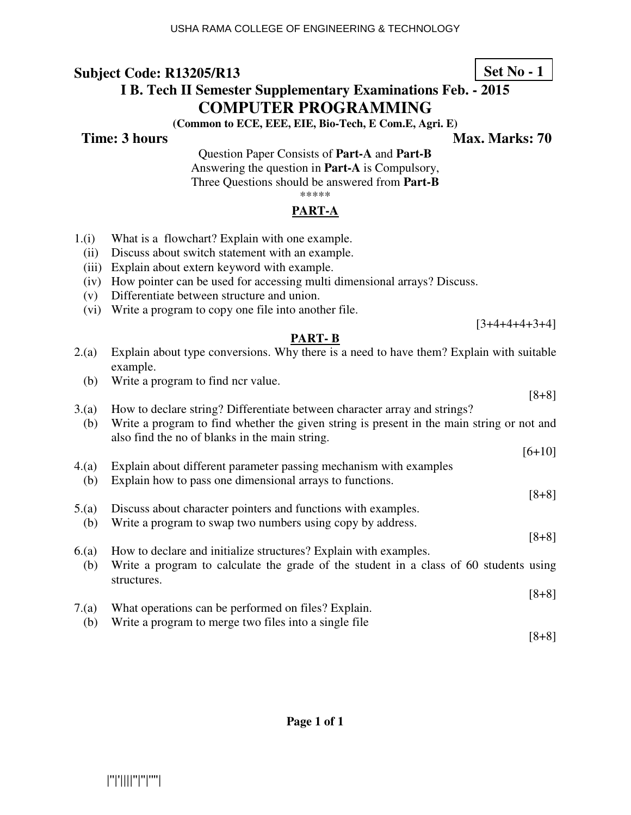# **I B. Tech II Semester Supplementary Examinations Feb. - 2015 COMPUTER PROGRAMMING**

**(Common to ECE, EEE, EIE, Bio-Tech, E Com.E, Agri. E)** 

**Time: 3 hours** Max. Marks: 70

**Set No - 1**

[3+4+4+4+3+4]

Question Paper Consists of **Part-A** and **Part-B** Answering the question in **Part-A** is Compulsory, Three Questions should be answered from **Part-B** \*\*\*\*\*

## **PART-A**

- 1.(i) What is a flowchart? Explain with one example.
	- (ii) Discuss about switch statement with an example.
	- (iii) Explain about extern keyword with example.
	- (iv) How pointer can be used for accessing multi dimensional arrays? Discuss.
	- (v) Differentiate between structure and union.
	- (vi) Write a program to copy one file into another file.

## **PART- B**

- 2.(a) Explain about type conversions. Why there is a need to have them? Explain with suitable example.
	- (b) Write a program to find ncr value.
- [8+8] 3.(a) How to declare string? Differentiate between character array and strings? (b) Write a program to find whether the given string is present in the main string or not and also find the no of blanks in the main string.
- $[6+10]$ 4.(a) Explain about different parameter passing mechanism with examples
- (b) Explain how to pass one dimensional arrays to functions.
- 5.(a) Discuss about character pointers and functions with examples.
- (b) Write a program to swap two numbers using copy by address.
- 6.(a) How to declare and initialize structures? Explain with examples.
- (b) Write a program to calculate the grade of the student in a class of 60 students using structures.
- [8+8]
- 7.(a) What operations can be performed on files? Explain. (b) Write a program to merge two files into a single file

[8+8]

[8+8]

[8+8]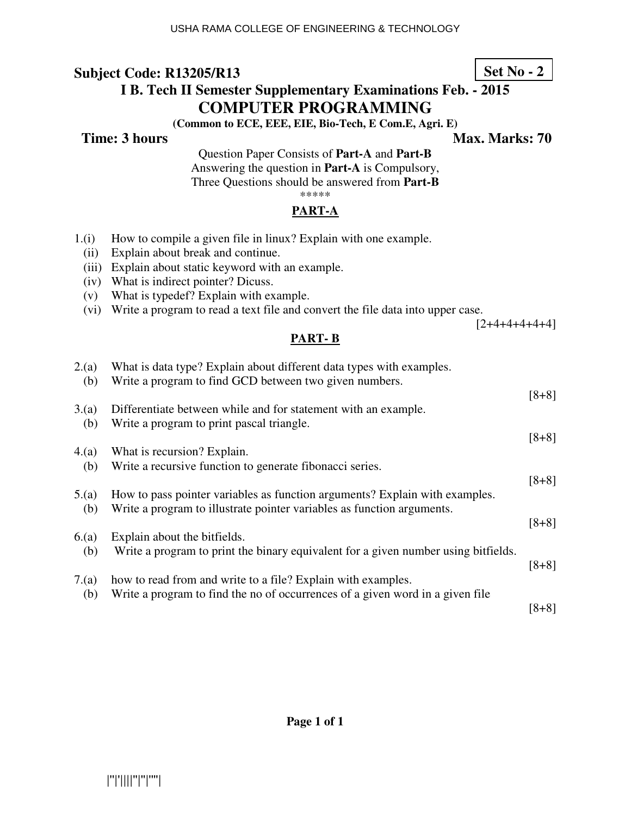# **I B. Tech II Semester Supplementary Examinations Feb. - 2015 COMPUTER PROGRAMMING**

**(Common to ECE, EEE, EIE, Bio-Tech, E Com.E, Agri. E)** 

**Time: 3 hours** Max. Marks: 70

Question Paper Consists of **Part-A** and **Part-B** Answering the question in **Part-A** is Compulsory, Three Questions should be answered from **Part-B** \*\*\*\*\*

## **PART-A**

- 1.(i) How to compile a given file in linux? Explain with one example.
	- (ii) Explain about break and continue.
	- (iii) Explain about static keyword with an example.
	- (iv) What is indirect pointer? Dicuss.
	- (v) What is typedef? Explain with example.
	- (vi) Write a program to read a text file and convert the file data into upper case.

 $[2+4+4+4+4+4]$ 

### **PART- B**

| 2.(a)<br>(b) | What is data type? Explain about different data types with examples.<br>Write a program to find GCD between two given numbers.                        |         |
|--------------|-------------------------------------------------------------------------------------------------------------------------------------------------------|---------|
| 3(a)<br>(b)  | Differentiate between while and for statement with an example.<br>Write a program to print pascal triangle.                                           | $[8+8]$ |
| 4.(a)        | What is recursion? Explain.                                                                                                                           | $[8+8]$ |
| (b)          | Write a recursive function to generate fibonacci series.                                                                                              | $[8+8]$ |
| 5(a)<br>(b)  | How to pass pointer variables as function arguments? Explain with examples.<br>Write a program to illustrate pointer variables as function arguments. |         |
| 6(a)         | Explain about the bitfields.                                                                                                                          | $[8+8]$ |
| (b)          | Write a program to print the binary equivalent for a given number using bitfields.                                                                    | $[8+8]$ |
| 7(a)         | how to read from and write to a file? Explain with examples.<br>Write a program to find the no of occurrences of a given word in a given file         |         |
| (b)          |                                                                                                                                                       | $[8+8]$ |

**Set No - 2**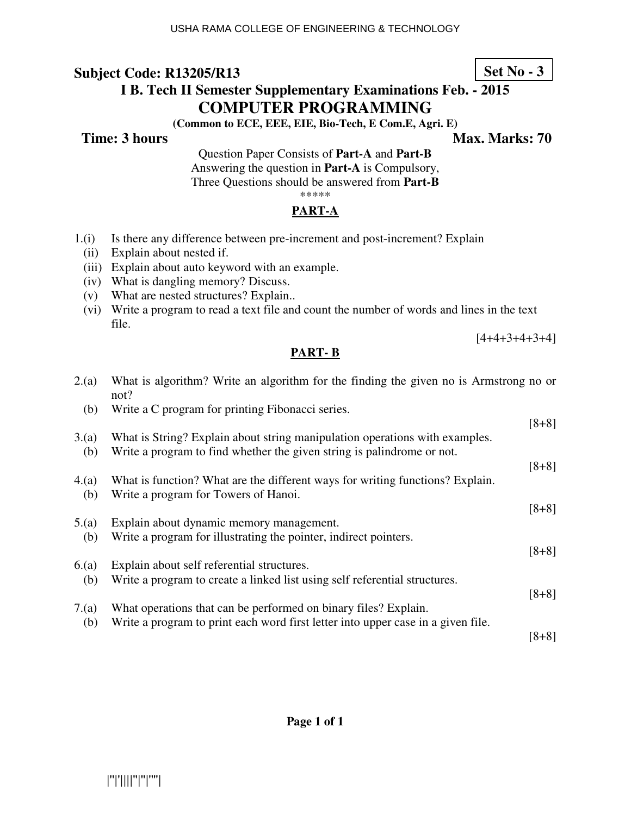# **I B. Tech II Semester Supplementary Examinations Feb. - 2015 COMPUTER PROGRAMMING**

**(Common to ECE, EEE, EIE, Bio-Tech, E Com.E, Agri. E)** 

**Time: 3 hours** Max. Marks: 70

Question Paper Consists of **Part-A** and **Part-B** Answering the question in **Part-A** is Compulsory, Three Questions should be answered from **Part-B** \*\*\*\*\*

## **PART-A**

- 1.(i) Is there any difference between pre-increment and post-increment? Explain
	- (ii) Explain about nested if.
	- (iii) Explain about auto keyword with an example.
	- (iv) What is dangling memory? Discuss.
	- (v) What are nested structures? Explain..
	- (vi) Write a program to read a text file and count the number of words and lines in the text file.

 $[4+4+3+4+3+4]$ 

### **PART- B**

| 2.(a)       | What is algorithm? Write an algorithm for the finding the given no is Armstrong no or<br>not?                            |         |
|-------------|--------------------------------------------------------------------------------------------------------------------------|---------|
| (b)         | Write a C program for printing Fibonacci series.                                                                         |         |
| 3(a)        | What is String? Explain about string manipulation operations with examples.                                              | $[8+8]$ |
| (b)         | Write a program to find whether the given string is palindrome or not.                                                   |         |
|             |                                                                                                                          | $[8+8]$ |
| 4(a)        | What is function? What are the different ways for writing functions? Explain.<br>Write a program for Towers of Hanoi.    |         |
| (b)         |                                                                                                                          | $[8+8]$ |
| 5.(a)       | Explain about dynamic memory management.                                                                                 |         |
| (b)         | Write a program for illustrating the pointer, indirect pointers.                                                         |         |
|             |                                                                                                                          | $[8+8]$ |
| 6(a)<br>(b) | Explain about self referential structures.<br>Write a program to create a linked list using self referential structures. |         |
|             |                                                                                                                          | $[8+8]$ |
| 7(a)        | What operations that can be performed on binary files? Explain.                                                          |         |
| (b)         | Write a program to print each word first letter into upper case in a given file.                                         |         |
|             |                                                                                                                          | $[8+8]$ |

## **Set No - 3**